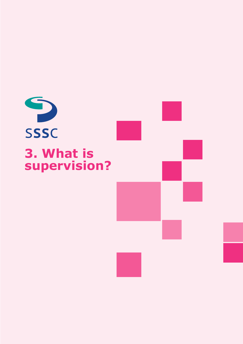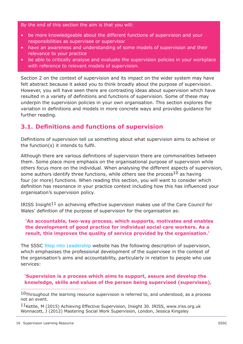By the end of this section the aim is that you will:

- be more knowledgeable about the different functions of supervision and your responsibilities as supervisee or supervisor
- have an awareness and understanding of some models of supervision and their relevance to your practice
- be able to critically analyse and evaluate the supervision policies in your workplace with reference to relevant models of supervision.

Section 2 on the context of supervision and its impact on the wider system may have felt abstract because it asked you to think broadly about the purpose of supervision. However, you will have seen there are contrasting ideas about supervision which have resulted in a variety of definitions and functions of supervision. Some of these may underpin the supervision policies in your own organisation. This section explores the variation in definitions and models in more concrete ways and provides guidance for further reading.

## **3.1. Definitions and functions of supervision**

Definitions of supervision tell us something about what supervision aims to achieve or the function(s) it intends to fulfil.

Although there are various definitions of supervision there are commonalities between them. Some place more emphasis on the organisational purpose of supervision while others focus more on the individual. When analysing the different aspects of supervision, some authors identify three functions, while others see the process<sup>10</sup> as having four (or more) functions. When reading this section, you will want to consider which definition has resonance in your practice context including how this has influenced your organisation's supervision policy.

IRISS Insight<sup>11</sup> on achieving effective supervision makes use of the Care Council for Wales' definition of the purpose of supervision for the organisation as:

## **'An accountable, two-way process, which supports, motivates and enables the development of good practice for individual social care workers. As a result, this improves the quality of service provided by the organisation.'**

The SSSC Step into Leadership website has the following description of supervision, which emphasises the professional development of the supervisee in the context of the organisation's aims and accountability, particularly in relation to people who use services:

## **'Supervision is a process which aims to support, assure and develop the knowledge, skills and values of the person being supervised (supervisee),**

 $10$ Throughout the learning resource supervision is referred to, and understood, as a process not an event.

<sup>11</sup>Kettle, M (2015) Achieving Effective Supervision, Insight 30. IRISS, www.iriss.org.uk Wonnacott, J (2012) Mastering Social Work Supervision, London, Jessica Kingsley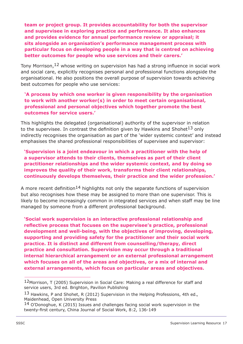**team or project group. It provides accountability for both the supervisor and supervisee in exploring practice and performance. It also enhances and provides evidence for annual performance review or appraisal; it sits alongside an organisation's performance management process with particular focus on developing people in a way that is centred on achieving better outcomes for people who use services and their carers.'**

Tony Morrison,  $12$  whose writing on supervision has had a strong influence in social work and social care, explicitly recognises personal and professional functions alongside the organisational. He also positions the overall purpose of supervision towards achieving best outcomes for people who use services:

## **'A process by which one worker is given responsibility by the organisation to work with another worker(s) in order to meet certain organisational, professional and personal objectives which together promote the best outcomes for service users.'**

This highlights the delegated (organisational) authority of the supervisor in relation to the supervisee. In contrast the definition given by Hawkins and Shohet<sup>13</sup> only indirectly recognises the organisation as part of the 'wider systemic context' and instead emphasises the shared professional responsibilities of supervisee and supervisor:

**'Supervision is a joint endeavour in which a practitioner with the help of a supervisor attends to their clients, themselves as part of their client practitioner relationships and the wider systemic context, and by doing so improves the quality of their work, transforms their client relationships, continuously develops themselves, their practice and the wider profession.'** 

A more recent definition<sup>14</sup> highlights not only the separate functions of supervision but also recognises how these may be assigned to more than one supervisor. This is likely to become increasingly common in integrated services and when staff may be line managed by someone from a different professional background.

**'Social work supervision is an interactive professional relationship and reflective process that focuses on the supervisee's practice, professional development and well-being, with the objectives of improving, developing, supporting and providing safety for the practitioner and their social work practice. It is distinct and different from counselling/therapy, direct practice and consultation. Supervision may occur through a traditional internal hierarchical arrangement or an external professional arrangement which focuses on all of the areas and objectives, or a mix of internal and external arrangements, which focus on particular areas and objectives.** 

<sup>12</sup>Morrison, T (2005) Supervision in Social Care: Making a real difference for staff and service users, 3rd ed. Brighton, Pavilion Publishing

 $13$  Hawkins, P and Shohet, R (2012) Supervision in the Helping Professions, 4th ed., Maidenhead, Open University Press

<sup>14</sup> O'Donoghue, K (2015) Issues and challenges facing social work supervision in the twenty-first century, China Journal of Social Work, 8:2, 136-149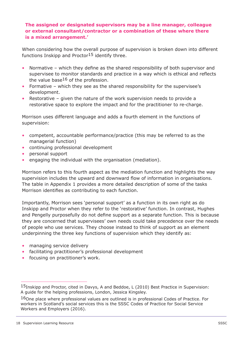## **The assigned or designated supervisors may be a line manager, colleague or external consultant/contractor or a combination of these where there is a mixed arrangement.'**

When considering how the overall purpose of supervision is broken down into different functions Inskipp and Proctor<sup>15</sup> identify three.

- Normative which they define as the shared responsibility of both supervisor and supervisee to monitor standards and practice in a way which is ethical and reflects the value base<sup>16</sup> of the profession.
- Formative which they see as the shared responsibility for the supervisee's development.
- Restorative given the nature of the work supervision needs to provide a restorative space to explore the impact and for the practitioner to re-charge.

Morrison uses different language and adds a fourth element in the functions of supervision:

- competent, accountable performance/practice (this may be referred to as the managerial function)
- continuing professional development
- personal support
- engaging the individual with the organisation (mediation).

Morrison refers to this fourth aspect as the mediation function and highlights the way supervision includes the upward and downward flow of information in organisations. The table in Appendix 1 provides a more detailed description of some of the tasks Morrison identifies as contributing to each function.

Importantly, Morrison sees 'personal support' as a function in its own right as do Inskipp and Proctor when they refer to the 'restorative' function. In contrast, Hughes and Pengelly purposefully do not define support as a separate function. This is because they are concerned that supervisees' own needs could take precedence over the needs of people who use services. They choose instead to think of support as an element underpinning the three key functions of supervision which they identify as:

- managing service delivery
- facilitating practitioner's professional development
- focusing on practitioner's work.

 $15$ Inskipp and Proctor, cited in Davys, A and Beddoe, L (2010) Best Practice in Supervision: A guide for the helping professions, London, Jessica Kingsley.

 $16$ One place where professional values are outlined is in professional Codes of Practice. For workers in Scotland's social services this is the SSSC Codes of Practice for Social Service Workers and Employers (2016).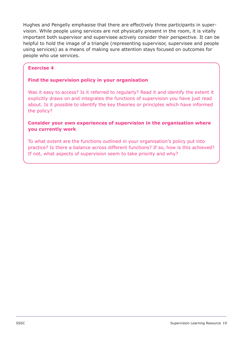Hughes and Pengelly emphasise that there are effectively three participants in supervision. While people using services are not physically present in the room, it is vitally important both supervisor and supervisee actively consider their perspective. It can be helpful to hold the image of a triangle (representing supervisor, supervisee and people using services) as a means of making sure attention stays focused on outcomes for people who use services.

## **Exercise 4**

## **Find the supervision policy in your organisation**

Was it easy to access? Is it referred to regularly? Read it and identify the extent it explicitly draws on and integrates the functions of supervision you have just read about. Is it possible to identify the key theories or principles which have informed the policy?

## **Consider your own experiences of supervision in the organisation where you currently work**

To what extent are the functions outlined in your organisation's policy put into practice? Is there a balance across different functions? If so, how is this achieved? If not, what aspects of supervision seem to take priority and why?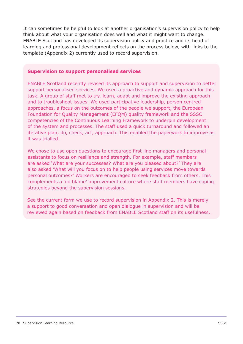It can sometimes be helpful to look at another organisation's supervision policy to help think about what your organisation does well and what it might want to change. ENABLE Scotland has developed its supervision policy and practice and its head of learning and professional development reflects on the process below, with links to the template (Appendix 2) currently used to record supervision.

#### **Supervision to support personalised services**

ENABLE Scotland recently revised its approach to support and supervision to better support personalised services. We used a proactive and dynamic approach for this task. A group of staff met to try, learn, adapt and improve the existing approach and to troubleshoot issues. We used participative leadership, person centred approaches, a focus on the outcomes of the people we support, the European Foundation for Quality Management (EFQM) quality framework and the SSSC competencies of the Continuous Learning Framework to underpin development of the system and processes. The staff used a quick turnaround and followed an iterative plan, do, check, act, approach. This enabled the paperwork to improve as it was trialled.

We chose to use open questions to encourage first line managers and personal assistants to focus on resilience and strength. For example, staff members are asked 'What are your successes? What are you pleased about?' They are also asked 'What will you focus on to help people using services move towards personal outcomes?' Workers are encouraged to seek feedback from others. This complements a 'no blame' improvement culture where staff members have coping strategies beyond the supervision sessions.

See the current form we use to record supervision in Appendix 2. This is merely a support to good conversation and open dialogue in supervision and will be reviewed again based on feedback from ENABLE Scotland staff on its usefulness.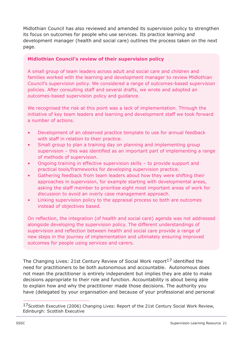Midlothian Council has also reviewed and amended its supervision policy to strengthen its focus on outcomes for people who use services. Its practice learning and development manager (health and social care) outlines the process taken on the next page.

## **Midlothian Council's review of their supervision policy**

A small group of team leaders across adult and social care and children and families worked with the learning and development manager to review Midlothian Council's supervision policy. We considered a range of outcomes-based supervision policies. After consulting staff and several drafts, we wrote and adopted an outcomes-based supervision policy and guidance.

We recognised the risk at this point was a lack of implementation. Through the initiative of key team leaders and learning and development staff we took forward a number of actions.

- Development of an observed practice template to use for annual feedback with staff in relation to their practice.
- Small group to plan a training day on planning and implementing group supervision – this was identified as an important part of implementing a range of methods of supervision.
- Ongoing training in effective supervision skills to provide support and practical tools/frameworks for developing supervision practice.
- Gathering feedback from team leaders about how they were shifting their approaches in supervision, for example starting with developmental areas, asking the staff member to prioritise eight most important areas of work for discussion to avoid an overly case management approach.
- Linking supervision policy to the appraisal process so both are outcomes instead of objectives based.

On reflection, the integration (of health and social care) agenda was not addressed alongside developing the supervision policy. The different understandings of supervision and reflection between health and social care provide a range of new steps in the journey of implementation and ultimately ensuring improved outcomes for people using services and carers.

The Changing Lives: 21st Century Review of Social Work report<sup>17</sup> identified the need for practitioners to be both autonomous and accountable. Autonomous does not mean the practitioner is entirely independent but implies they are able to make decisions appropriate to their role and function. Accountability is about being able to explain how and why the practitioner made those decisions. The authority you have (delegated by your organisation and because of your professional and personal

<sup>&</sup>lt;sup>17</sup>Scottish Executive (2006) Changing Lives: Report of the 21st Century Social Work Review, Edinburgh: Scottish Executive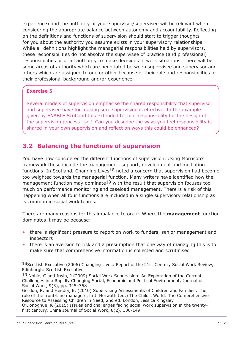experience) and the authority of your supervisor/supervisee will be relevant when considering the appropriate balance between autonomy and accountability. Reflecting on the definitions and functions of supervision should start to trigger thoughts for you about the authority you assume exists in your supervisory relationships. While all definitions highlight the managerial responsibilities held by supervisors, these responsibilities do not absolve the supervisee of practice (and professional) responsibilities or of all authority to make decisions in work situations. There will be some areas of authority which are negotiated between supervisee and supervisor and others which are assigned to one or other because of their role and responsibilities or their professional background and/or experience.

## **Exercise 5**

Several models of supervision emphasise the shared responsibility that supervisor and supervisee have for making sure supervision is effective. In the example given by ENABLE Scotland this extended to joint responsibility for the design of the supervision process itself. Can you describe the ways you feel responsibility is shared in your own supervision and reflect on ways this could be enhanced?

# **3.2 Balancing the functions of supervision**

You have now considered the different functions of supervision. Using Morrison's framework these include the management, support, development and mediation functions. In Scotland, Changing Lives<sup>18</sup> noted a concern that supervision had become too weighted towards the managerial function. Many writers have identified how the management function may dominate  $19$  with the result that supervision focuses too much on performance monitoring and caseload management. There is a risk of this happening when all four functions are included in a single supervisory relationship as is common in social work teams.

There are many reasons for this imbalance to occur. Where the **management** function dominates it may be because:

- there is significant pressure to report on work to funders, senior management and inspectors
- there is an aversion to risk and a presumption that one way of managing this is to make sure that comprehensive information is collected and scrutinised

<sup>18</sup>Scottish Executive (2006) Changing Lives: Report of the 21st Century Social Work Review, Edinburgh: Scottish Executive

<sup>19</sup> Noble, C and Irwin, J (2009) Social Work Supervision: An Exploration of the Current Challenges in a Rapidly Changing Social, Economic and Political Environment, Journal of Social Work, 9(3), pp. 345–358

Gordon, R. and Hendry, E. (2010) Supervising Assessments of Children and Families: The role of the front-Line managers, in J. Horwath (ed.) The Child's World: The Comprehensive Resource to Assessing Children in Need, 2nd ed. London, Jessica Kingsley

O'Donoghue, K (2015) Issues and challenges facing social work supervision in the twentyfirst century, China Journal of Social Work, 8(2), 136-149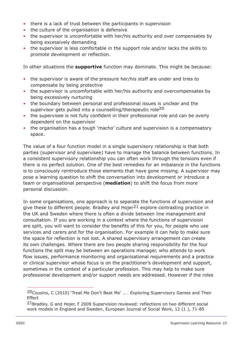- there is a lack of trust between the participants in supervision
- the culture of the organisation is defensive
- the supervisor is uncomfortable with her/his authority and over compensates by being excessively demanding
- the supervisor is less comfortable in the support role and/or lacks the skills to promote development or reflection.

In other situations the **supportive** function may dominate. This might be because:

- the supervisor is aware of the pressure her/his staff are under and tries to compensate by being protective
- the supervisor is uncomfortable with her/his authority and overcompensates by being excessively nurturing
- the boundary between personal and professional issues is unclear and the supervisor gets pulled into a counselling/therapeutic role<sup>20</sup>
- the supervisee is not fully confident in their professional role and can be overly dependent on the supervisor
- the organisation has a tough 'macho' culture and supervision is a compensatory space.

The value of a four function model in a single supervisory relationship is that both parties (supervisor and supervisee) have to manage the balance between functions. In a consistent supervisory relationship you can often work through the tensions even if there is no perfect solution. One of the best remedies for an imbalance in the functions is to consciously reintroduce those elements that have gone missing. A supervisor may pose a learning question to shift the conversation into development or introduce a team or organisational perspective (**mediation**) to shift the focus from more personal discussion.

In some organisations, one approach is to separate the functions of supervision and give these to different people. Bradley and Hojer<sup>21</sup> explore contrasting practice in the UK and Sweden where there is often a divide between line management and consultation. If you are working in a context where the functions of supervision are split, you will want to consider the benefits of this for you, for people who use services and carers and for the organisation. For example it can help to make sure the space for reflection is not lost. A shared supervisory arrangement can create its own challenges. Where there are two people sharing responsibility for the four functions the split may be between an operations manager, who attends to work flow issues, performance monitoring and organisational requirements and a practice or clinical supervisor whose focus is on the practitioner's development and support, sometimes in the context of a particular profession. This may help to make sure professional development and/or support needs are addressed. However if the roles

<sup>20</sup>Cousins, C (2010) 'Treat Me Don't Beat Me' … . Exploring Supervisory Games and Their **Effect** 

<sup>&</sup>lt;sup>21</sup>Bradley, G and Hojer, F 2009 Supervision reviewed: reflections on two different social work models in England and Sweden, European Journal of Social Work, 12 (1 ), 71-85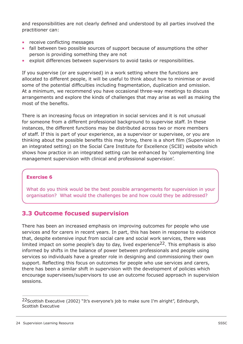and responsibilities are not clearly defined and understood by all parties involved the practitioner can:

- receive conflicting messages
- fall between two possible sources of support because of assumptions the other person is providing something they are not
- exploit differences between supervisors to avoid tasks or responsibilities.

If you supervise (or are supervised) in a work setting where the functions are allocated to different people, it will be useful to think about how to minimise or avoid some of the potential difficulties including fragmentation, duplication and omission. At a minimum, we recommend you have occasional three-way meetings to discuss arrangements and explore the kinds of challenges that may arise as well as making the most of the benefits.

There is an increasing focus on integration in social services and it is not unusual for someone from a different professional background to supervise staff. In these instances, the different functions may be distributed across two or more members of staff. If this is part of your experience, as a supervisor or supervisee, or you are thinking about the possible benefits this may bring, there is a short film (Supervision in an integrated setting) on the Social Care Institute for Excellence (SCIE) website which shows how practice in an integrated setting can be enhanced by 'complementing line management supervision with clinical and professional supervision'.

## **Exercise 6**

What do you think would be the best possible arrangements for supervision in your organisation? What would the challenges be and how could they be addressed?

## **3.3 Outcome focused supervision**

There has been an increased emphasis on improving outcomes for people who use services and for carers in recent years. In part, this has been in response to evidence that, despite extensive input from social care and social work services, there was limited impact on some people's day to day, lived experience<sup>22</sup>. This emphasis is also informed by shifts in the balance of power between professionals and people using services so individuals have a greater role in designing and commissioning their own support. Reflecting this focus on outcomes for people who use services and carers, there has been a similar shift in supervision with the development of policies which encourage supervisees/supervisors to use an outcome focused approach in supervision sessions.

<sup>&</sup>lt;sup>22</sup>Scottish Executive (2002) "It's everyone's job to make sure I'm alright", Edinburgh, Scottish Executive